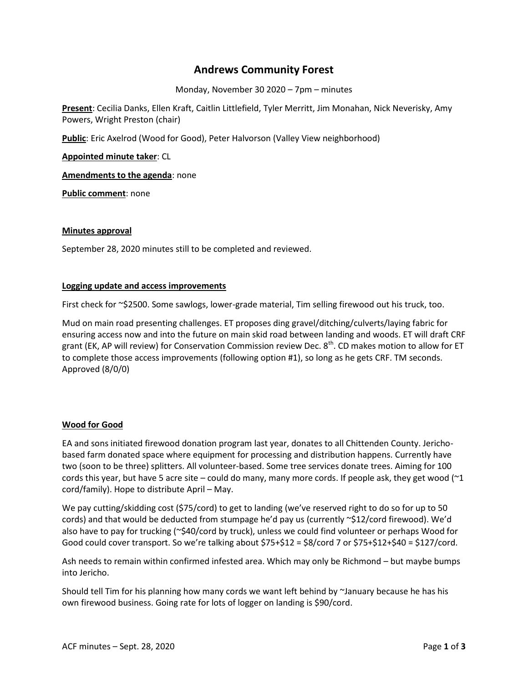# **Andrews Community Forest**

Monday, November 30 2020 – 7pm – minutes

**Present**: Cecilia Danks, Ellen Kraft, Caitlin Littlefield, Tyler Merritt, Jim Monahan, Nick Neverisky, Amy Powers, Wright Preston (chair)

**Public**: Eric Axelrod (Wood for Good), Peter Halvorson (Valley View neighborhood)

**Appointed minute taker**: CL

**Amendments to the agenda**: none

**Public comment**: none

#### **Minutes approval**

September 28, 2020 minutes still to be completed and reviewed.

#### **Logging update and access improvements**

First check for ~\$2500. Some sawlogs, lower-grade material, Tim selling firewood out his truck, too.

Mud on main road presenting challenges. ET proposes ding gravel/ditching/culverts/laying fabric for ensuring access now and into the future on main skid road between landing and woods. ET will draft CRF grant (EK, AP will review) for Conservation Commission review Dec.  $8^{\text{th}}$ . CD makes motion to allow for ET to complete those access improvements (following option #1), so long as he gets CRF. TM seconds. Approved (8/0/0)

## **Wood for Good**

EA and sons initiated firewood donation program last year, donates to all Chittenden County. Jerichobased farm donated space where equipment for processing and distribution happens. Currently have two (soon to be three) splitters. All volunteer-based. Some tree services donate trees. Aiming for 100 cords this year, but have 5 acre site – could do many, many more cords. If people ask, they get wood (~1 cord/family). Hope to distribute April – May.

We pay cutting/skidding cost (\$75/cord) to get to landing (we've reserved right to do so for up to 50 cords) and that would be deducted from stumpage he'd pay us (currently ~\$12/cord firewood). We'd also have to pay for trucking (~\$40/cord by truck), unless we could find volunteer or perhaps Wood for Good could cover transport. So we're talking about \$75+\$12 = \$8/cord 7 or \$75+\$12+\$40 = \$127/cord.

Ash needs to remain within confirmed infested area. Which may only be Richmond – but maybe bumps into Jericho.

Should tell Tim for his planning how many cords we want left behind by ~January because he has his own firewood business. Going rate for lots of logger on landing is \$90/cord.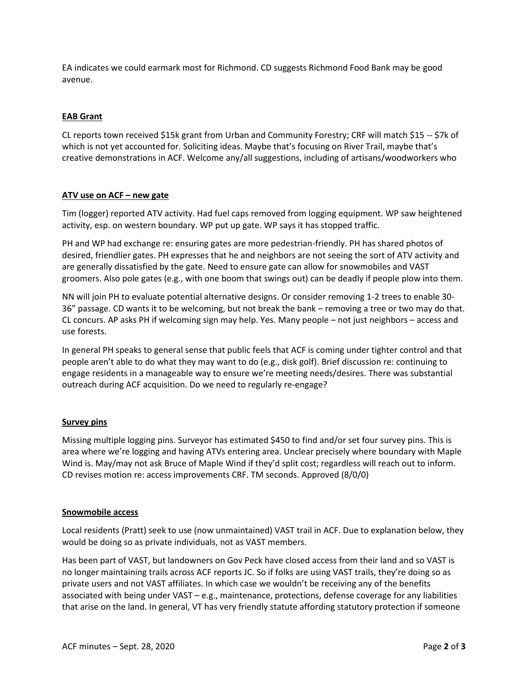EA indicates we could earmark most for Richmond. CD suggests Richmond Food Bank may be good avenue.

# **EAB Grant**

CL reports town received \$15k grant from Urban and Community Forestry; CRF will match \$15 -- \$7k of which is not yet accounted for. Soliciting ideas. Maybe that's focusing on River Trail, maybe that's creative demonstrations in ACF. Welcome any/all suggestions, including of artisans/woodworkers who

## **ATV use on ACF – new gate**

Tim (logger) reported ATV activity. Had fuel caps removed from logging equipment. WP saw heightened activity, esp. on western boundary. WP put up gate. WP says it has stopped traffic.

PH and WP had exchange re: ensuring gates are more pedestrian-friendly. PH has shared photos of desired, friendlier gates. PH expresses that he and neighbors are not seeing the sort of ATV activity and are generally dissatisfied by the gate. Need to ensure gate can allow for snowmobiles and VAST groomers. Also pole gates (e.g., with one boom that swings out) can be deadly if people plow into them.

NN will join PH to evaluate potential alternative designs. Or consider removing 1-2 trees to enable 30- 36" passage. CD wants it to be welcoming, but not break the bank – removing a tree or two may do that. CL concurs. AP asks PH if welcoming sign may help. Yes. Many people – not just neighbors – access and use forests.

In general PH speaks to general sense that public feels that ACF is coming under tighter control and that people aren't able to do what they may want to do (e.g., disk golf). Brief discussion re: continuing to engage residents in a manageable way to ensure we're meeting needs/desires. There was substantial outreach during ACF acquisition. Do we need to regularly re-engage?

## **Survey pins**

Missing multiple logging pins. Surveyor has estimated \$450 to find and/or set four survey pins. This is area where we're logging and having ATVs entering area. Unclear precisely where boundary with Maple Wind is. May/may not ask Bruce of Maple Wind if they'd split cost; regardless will reach out to inform. CD revises motion re: access improvements CRF. TM seconds. Approved (8/0/0)

## **Snowmobile access**

Local residents (Pratt) seek to use (now unmaintained) VAST trail in ACF. Due to explanation below, they would be doing so as private individuals, not as VAST members.

Has been part of VAST, but landowners on Gov Peck have closed access from their land and so VAST is no longer maintaining trails across ACF reports JC. So if folks are using VAST trails, they're doing so as private users and not VAST affiliates. In which case we wouldn't be receiving any of the benefits associated with being under VAST – e.g., maintenance, protections, defense coverage for any liabilities that arise on the land. In general, VT has very friendly statute affording statutory protection if someone